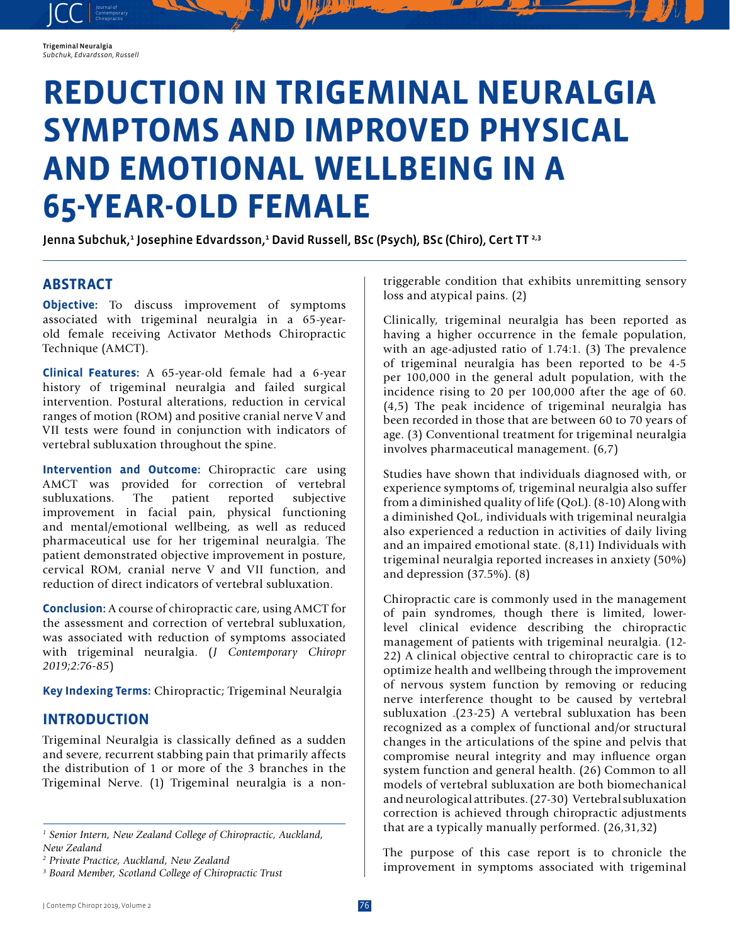

JCC contemporary Contemporary

# **REDUCTION IN TRIGEMINAL NEURALGIA SYMPTOMS AND IMPROVED PHYSICAL AND EMOTIONAL WELLBEING IN A 65-YEAR-OLD FEMALE**

Jenna Subchuk,<del>'</del> Josephine Edvardsson,<del>'</del> David Russell, BSc (Psych), BSc (Chiro), Cert TT 2,3

## **ABSTRACT**

**Objective:** To discuss improvement of symptoms associated with trigeminal neuralgia in a 65-yearold female receiving Activator Methods Chiropractic Technique (AMCT).

**Clinical Features:** A 65-year-old female had a 6-year history of trigeminal neuralgia and failed surgical intervention. Postural alterations, reduction in cervical ranges of motion (ROM) and positive cranial nerve V and VII tests were found in conjunction with indicators of vertebral subluxation throughout the spine.

**Intervention and Outcome:** Chiropractic care using AMCT was provided for correction of vertebral<br>subluxations. The patient reported subjective subluxations. The patient reported subjective improvement in facial pain, physical functioning and mental/emotional wellbeing, as well as reduced pharmaceutical use for her trigeminal neuralgia. The patient demonstrated objective improvement in posture, cervical ROM, cranial nerve V and VII function, and reduction of direct indicators of vertebral subluxation.

**Conclusion:** A course of chiropractic care, using AMCT for the assessment and correction of vertebral subluxation, was associated with reduction of symptoms associated with trigeminal neuralgia. (*J Contemporary Chiropr 2019;2:76-85*)

**Key Indexing Terms:** Chiropractic; Trigeminal Neuralgia

## **INTRODUCTION**

Trigeminal Neuralgia is classically defined as a sudden and severe, recurrent stabbing pain that primarily affects the distribution of 1 or more of the 3 branches in the Trigeminal Nerve. (1) Trigeminal neuralgia is a non-

<sup>1</sup> Senior Intern, New Zealand College of Chiropractic, Auckland, *New Zealand*

triggerable condition that exhibits unremitting sensory loss and atypical pains. (2)

Clinically, trigeminal neuralgia has been reported as having a higher occurrence in the female population, with an age-adjusted ratio of 1.74:1. (3) The prevalence of trigeminal neuralgia has been reported to be 4-5 per 100,000 in the general adult population, with the incidence rising to 20 per 100,000 after the age of 60. (4,5) The peak incidence of trigeminal neuralgia has been recorded in those that are between 60 to 70 years of age. (3) Conventional treatment for trigeminal neuralgia involves pharmaceutical management. (6,7)

Studies have shown that individuals diagnosed with, or experience symptoms of, trigeminal neuralgia also suffer from a diminished quality of life (QoL). (8-10) Along with a diminished QoL, individuals with trigeminal neuralgia also experienced a reduction in activities of daily living and an impaired emotional state. (8,11) Individuals with trigeminal neuralgia reported increases in anxiety (50%) and depression (37.5%). (8)

Chiropractic care is commonly used in the management of pain syndromes, though there is limited, lowerlevel clinical evidence describing the chiropractic management of patients with trigeminal neuralgia. (12- 22) A clinical objective central to chiropractic care is to optimize health and wellbeing through the improvement of nervous system function by removing or reducing nerve interference thought to be caused by vertebral subluxation .(23-25) A vertebral subluxation has been recognized as a complex of functional and/or structural changes in the articulations of the spine and pelvis that compromise neural integrity and may influence organ system function and general health. (26) Common to all models of vertebral subluxation are both biomechanical and neurological attributes. (27-30) Vertebral subluxation correction is achieved through chiropractic adjustments that are a typically manually performed. (26,31,32)

The purpose of this case report is to chronicle the improvement in symptoms associated with trigeminal

*<sup>2</sup> Private Practice, Auckland, New Zealand*

*<sup>3</sup> Board Member, Scotland College of Chiropractic Trust*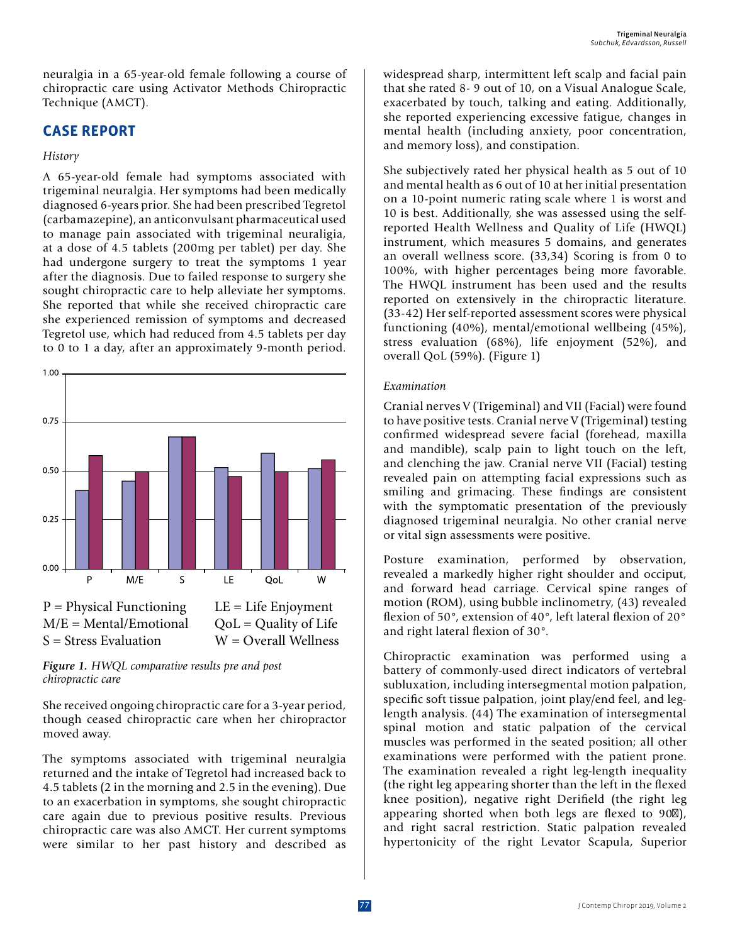neuralgia in a 65-year-old female following a course of chiropractic care using Activator Methods Chiropractic Technique (AMCT).

## **CASE REPORT**

#### *History*

A 65-year-old female had symptoms associated with trigeminal neuralgia. Her symptoms had been medically diagnosed 6-years prior. She had been prescribed Tegretol (carbamazepine), an anticonvulsant pharmaceutical used to manage pain associated with trigeminal neuraligia, at a dose of 4.5 tablets (200mg per tablet) per day. She had undergone surgery to treat the symptoms 1 year after the diagnosis. Due to failed response to surgery she sought chiropractic care to help alleviate her symptoms. She reported that while she received chiropractic care she experienced remission of symptoms and decreased Tegretol use, which had reduced from 4.5 tablets per day to 0 to 1 a day, after an approximately 9-month period.



*Figure 1. HWQL comparative results pre and post chiropractic care*

She received ongoing chiropractic care for a 3-year period, though ceased chiropractic care when her chiropractor moved away.

The symptoms associated with trigeminal neuralgia returned and the intake of Tegretol had increased back to 4.5 tablets (2 in the morning and 2.5 in the evening). Due to an exacerbation in symptoms, she sought chiropractic care again due to previous positive results. Previous chiropractic care was also AMCT. Her current symptoms were similar to her past history and described as widespread sharp, intermittent left scalp and facial pain that she rated 8- 9 out of 10, on a Visual Analogue Scale, exacerbated by touch, talking and eating. Additionally, she reported experiencing excessive fatigue, changes in mental health (including anxiety, poor concentration, and memory loss), and constipation.

She subjectively rated her physical health as 5 out of 10 and mental health as 6 out of 10 at her initial presentation on a 10-point numeric rating scale where 1 is worst and 10 is best. Additionally, she was assessed using the selfreported Health Wellness and Quality of Life (HWQL) instrument, which measures 5 domains, and generates an overall wellness score. (33,34) Scoring is from 0 to 100%, with higher percentages being more favorable. The HWQL instrument has been used and the results reported on extensively in the chiropractic literature. (33-42) Her self-reported assessment scores were physical functioning (40%), mental/emotional wellbeing (45%), stress evaluation (68%), life enjoyment (52%), and overall QoL (59%). (Figure 1)

#### *Examination*

Cranial nerves V (Trigeminal) and VII (Facial) were found to have positive tests. Cranial nerve V (Trigeminal) testing confirmed widespread severe facial (forehead, maxilla and mandible), scalp pain to light touch on the left, and clenching the jaw. Cranial nerve VII (Facial) testing revealed pain on attempting facial expressions such as smiling and grimacing. These findings are consistent with the symptomatic presentation of the previously diagnosed trigeminal neuralgia. No other cranial nerve or vital sign assessments were positive.

Posture examination, performed by observation, revealed a markedly higher right shoulder and occiput, and forward head carriage. Cervical spine ranges of motion (ROM), using bubble inclinometry, (43) revealed flexion of 50°, extension of 40°, left lateral flexion of 20° and right lateral flexion of 30°.

Chiropractic examination was performed using a battery of commonly-used direct indicators of vertebral subluxation, including intersegmental motion palpation, specific soft tissue palpation, joint play/end feel, and leglength analysis. (44) The examination of intersegmental spinal motion and static palpation of the cervical muscles was performed in the seated position; all other examinations were performed with the patient prone. The examination revealed a right leg-length inequality (the right leg appearing shorter than the left in the flexed knee position), negative right Derifield (the right leg appearing shorted when both legs are flexed to 90), and right sacral restriction. Static palpation revealed hypertonicity of the right Levator Scapula, Superior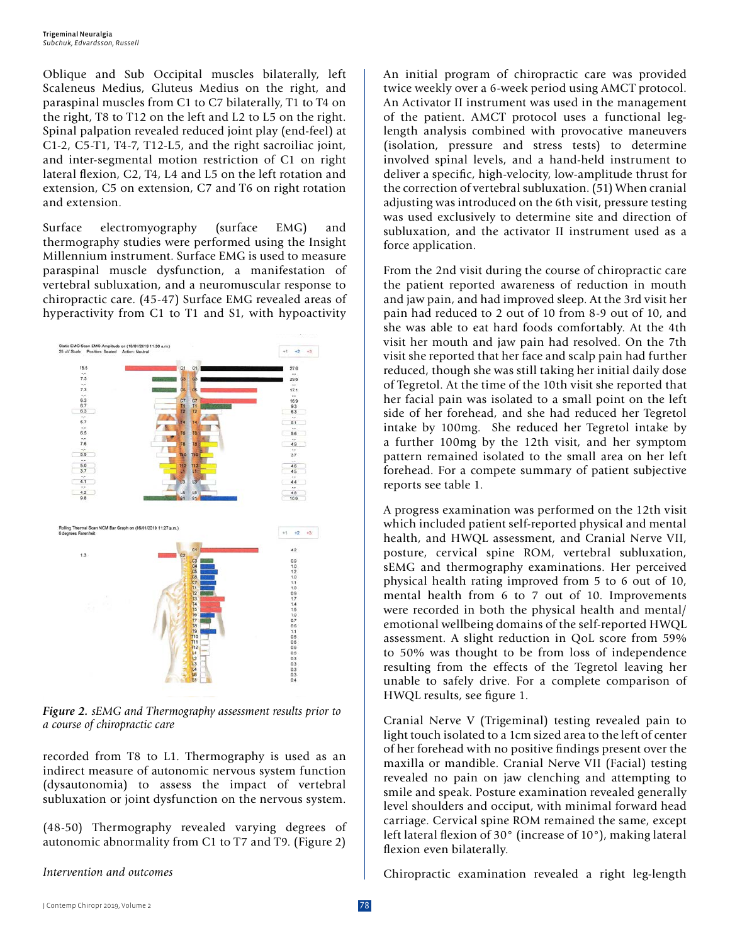Oblique and Sub Occipital muscles bilaterally, left Scaleneus Medius, Gluteus Medius on the right, and paraspinal muscles from C1 to C7 bilaterally, T1 to T4 on the right, T8 to T12 on the left and L2 to L5 on the right. Spinal palpation revealed reduced joint play (end-feel) at C1-2, C5-T1, T4-7, T12-L5, and the right sacroiliac joint, and inter-segmental motion restriction of C1 on right lateral flexion, C2, T4, L4 and L5 on the left rotation and extension, C5 on extension, C7 and T6 on right rotation and extension.

Surface electromyography (surface EMG) and thermography studies were performed using the Insight Millennium instrument. Surface EMG is used to measure paraspinal muscle dysfunction, a manifestation of vertebral subluxation, and a neuromuscular response to chiropractic care. (45-47) Surface EMG revealed areas of hyperactivity from C1 to T1 and S1, with hypoactivity



*Figure 2. sEMG and Thermography assessment results prior to a course of chiropractic care*

recorded from T8 to L1. Thermography is used as an indirect measure of autonomic nervous system function (dysautonomia) to assess the impact of vertebral subluxation or joint dysfunction on the nervous system.

(48-50) Thermography revealed varying degrees of autonomic abnormality from C1 to T7 and T9. (Figure 2)

#### *Intervention and outcomes*

An initial program of chiropractic care was provided twice weekly over a 6-week period using AMCT protocol. An Activator II instrument was used in the management of the patient. AMCT protocol uses a functional leglength analysis combined with provocative maneuvers (isolation, pressure and stress tests) to determine involved spinal levels, and a hand-held instrument to deliver a specific, high-velocity, low-amplitude thrust for the correction of vertebral subluxation. (51) When cranial adjusting was introduced on the 6th visit, pressure testing was used exclusively to determine site and direction of subluxation, and the activator II instrument used as a force application.

From the 2nd visit during the course of chiropractic care the patient reported awareness of reduction in mouth and jaw pain, and had improved sleep. At the 3rd visit her pain had reduced to 2 out of 10 from 8-9 out of 10, and she was able to eat hard foods comfortably. At the 4th visit her mouth and jaw pain had resolved. On the 7th visit she reported that her face and scalp pain had further reduced, though she was still taking her initial daily dose of Tegretol. At the time of the 10th visit she reported that her facial pain was isolated to a small point on the left side of her forehead, and she had reduced her Tegretol intake by 100mg. She reduced her Tegretol intake by a further 100mg by the 12th visit, and her symptom pattern remained isolated to the small area on her left forehead. For a compete summary of patient subjective reports see table 1.

A progress examination was performed on the 12th visit which included patient self-reported physical and mental health, and HWQL assessment, and Cranial Nerve VII, posture, cervical spine ROM, vertebral subluxation, sEMG and thermography examinations. Her perceived physical health rating improved from 5 to 6 out of 10, mental health from 6 to 7 out of 10. Improvements were recorded in both the physical health and mental/ emotional wellbeing domains of the self-reported HWQL assessment. A slight reduction in QoL score from 59% to 50% was thought to be from loss of independence resulting from the effects of the Tegretol leaving her unable to safely drive. For a complete comparison of HWQL results, see figure 1.

Cranial Nerve V (Trigeminal) testing revealed pain to light touch isolated to a 1cm sized area to the left of center of her forehead with no positive findings present over the maxilla or mandible. Cranial Nerve VII (Facial) testing revealed no pain on jaw clenching and attempting to smile and speak. Posture examination revealed generally level shoulders and occiput, with minimal forward head carriage. Cervical spine ROM remained the same, except left lateral flexion of 30° (increase of 10°), making lateral flexion even bilaterally.

Chiropractic examination revealed a right leg-length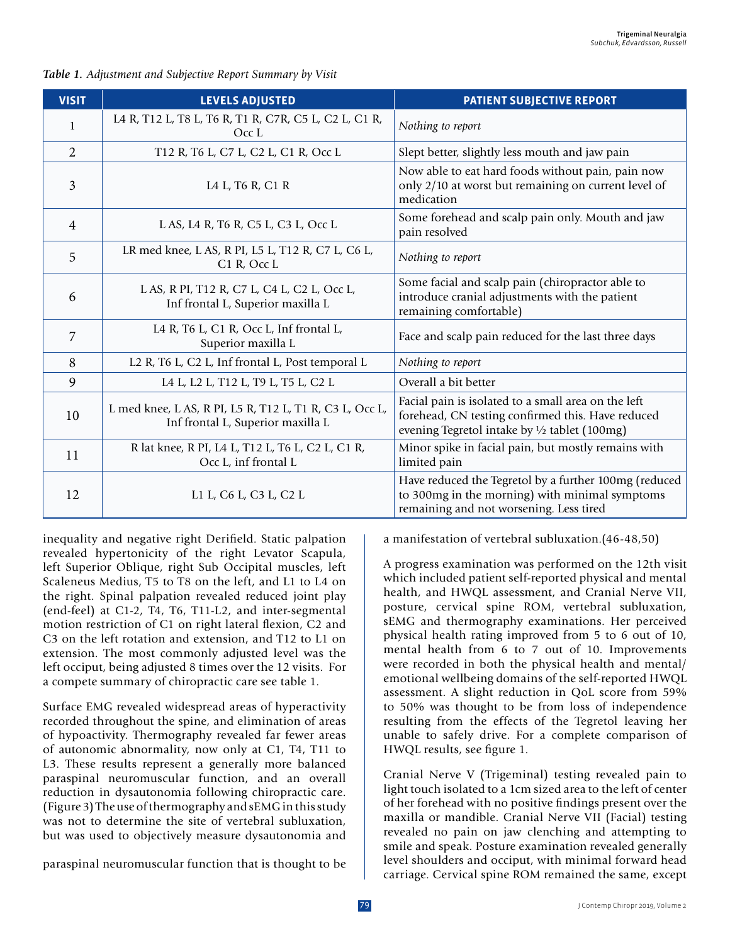| <b>VISIT</b>   | <b>LEVELS ADJUSTED</b>                                                                       | <b>PATIENT SUBJECTIVE REPORT</b>                                                                                                                                    |
|----------------|----------------------------------------------------------------------------------------------|---------------------------------------------------------------------------------------------------------------------------------------------------------------------|
| $\mathbf{1}$   | L4 R, T12 L, T8 L, T6 R, T1 R, C7R, C5 L, C2 L, C1 R,<br>OccL                                | Nothing to report                                                                                                                                                   |
| 2              | T12 R, T6 L, C7 L, C2 L, C1 R, Occ L                                                         | Slept better, slightly less mouth and jaw pain                                                                                                                      |
| 3              | L4 L, T6 R, C1 R                                                                             | Now able to eat hard foods without pain, pain now<br>only 2/10 at worst but remaining on current level of<br>medication                                             |
| $\overline{4}$ | L AS, L4 R, T6 R, C5 L, C3 L, Occ L                                                          | Some forehead and scalp pain only. Mouth and jaw<br>pain resolved                                                                                                   |
| 5              | LR med knee, L AS, R PI, L5 L, T12 R, C7 L, C6 L,<br>C <sub>1</sub> R, Occ L                 | Nothing to report                                                                                                                                                   |
| 6              | L AS, R PI, T12 R, C7 L, C4 L, C2 L, Occ L,<br>Inf frontal L, Superior maxilla L             | Some facial and scalp pain (chiropractor able to<br>introduce cranial adjustments with the patient<br>remaining comfortable)                                        |
| 7              | L4 R, T6 L, C1 R, Occ L, Inf frontal L,<br>Superior maxilla L                                | Face and scalp pain reduced for the last three days                                                                                                                 |
| 8              | L2 R, T6 L, C2 L, Inf frontal L, Post temporal L                                             | Nothing to report                                                                                                                                                   |
| 9              | L4 L, L2 L, T12 L, T9 L, T5 L, C2 L                                                          | Overall a bit better                                                                                                                                                |
| 10             | L med knee, L AS, R PI, L5 R, T12 L, T1 R, C3 L, Occ L,<br>Inf frontal L, Superior maxilla L | Facial pain is isolated to a small area on the left<br>forehead, CN testing confirmed this. Have reduced<br>evening Tegretol intake by $\frac{1}{2}$ tablet (100mg) |

*Table 1. Adjustment and Subjective Report Summary by Visit*

inequality and negative right Derifield. Static palpation revealed hypertonicity of the right Levator Scapula, left Superior Oblique, right Sub Occipital muscles, left Scaleneus Medius, T5 to T8 on the left, and L1 to L4 on the right. Spinal palpation revealed reduced joint play (end-feel) at C1-2, T4, T6, T11-L2, and inter-segmental motion restriction of C1 on right lateral flexion, C2 and C3 on the left rotation and extension, and T12 to L1 on extension. The most commonly adjusted level was the left occiput, being adjusted 8 times over the 12 visits. For a compete summary of chiropractic care see table 1.

12  $L1 L, C6 L, C3 L, C2 L$ 

11 R lat knee, R PI, L4 L, T12 L, T6 L, C2 L, C1 R,

Occ L, inf frontal L

Surface EMG revealed widespread areas of hyperactivity recorded throughout the spine, and elimination of areas of hypoactivity. Thermography revealed far fewer areas of autonomic abnormality, now only at C1, T4, T11 to L3. These results represent a generally more balanced paraspinal neuromuscular function, and an overall reduction in dysautonomia following chiropractic care. (Figure 3) The use of thermography and sEMG in this study was not to determine the site of vertebral subluxation, but was used to objectively measure dysautonomia and

paraspinal neuromuscular function that is thought to be

a manifestation of vertebral subluxation.(46-48,50)

remaining and not worsening. Less tired

Minor spike in facial pain, but mostly remains with

Have reduced the Tegretol by a further 100mg (reduced to 300mg in the morning) with minimal symptoms

limited pain

A progress examination was performed on the 12th visit which included patient self-reported physical and mental health, and HWQL assessment, and Cranial Nerve VII, posture, cervical spine ROM, vertebral subluxation, sEMG and thermography examinations. Her perceived physical health rating improved from 5 to 6 out of 10, mental health from 6 to 7 out of 10. Improvements were recorded in both the physical health and mental/ emotional wellbeing domains of the self-reported HWQL assessment. A slight reduction in QoL score from 59% to 50% was thought to be from loss of independence resulting from the effects of the Tegretol leaving her unable to safely drive. For a complete comparison of HWQL results, see figure 1.

Cranial Nerve V (Trigeminal) testing revealed pain to light touch isolated to a 1cm sized area to the left of center of her forehead with no positive findings present over the maxilla or mandible. Cranial Nerve VII (Facial) testing revealed no pain on jaw clenching and attempting to smile and speak. Posture examination revealed generally level shoulders and occiput, with minimal forward head carriage. Cervical spine ROM remained the same, except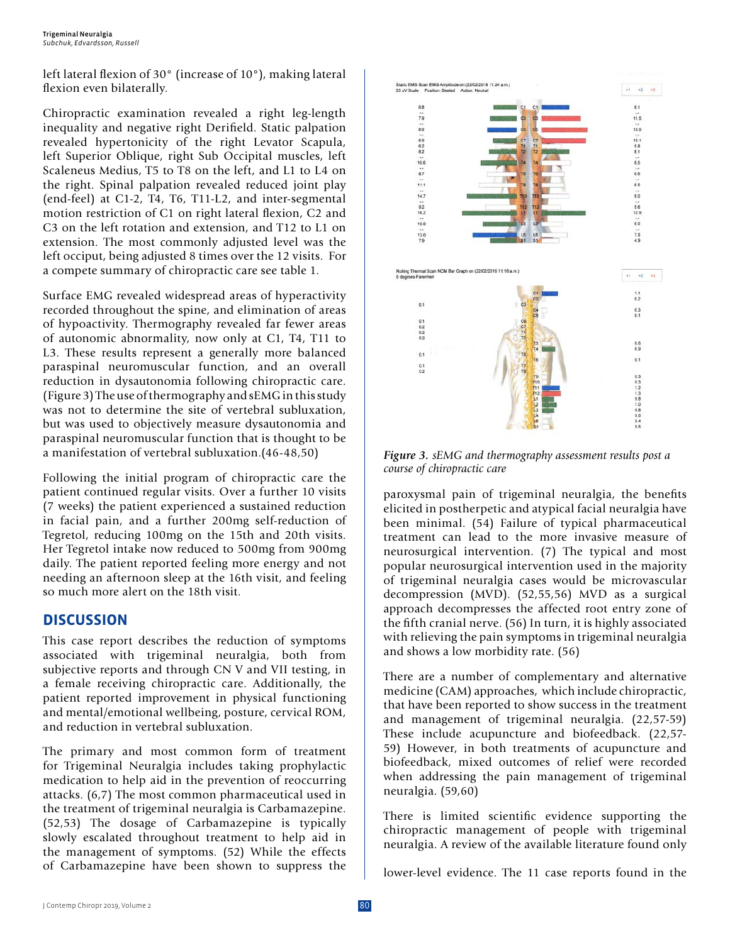left lateral flexion of 30° (increase of 10°), making lateral flexion even bilaterally.

Chiropractic examination revealed a right leg-length inequality and negative right Derifield. Static palpation revealed hypertonicity of the right Levator Scapula, left Superior Oblique, right Sub Occipital muscles, left Scaleneus Medius, T5 to T8 on the left, and L1 to L4 on the right. Spinal palpation revealed reduced joint play (end-feel) at C1-2, T4, T6, T11-L2, and inter-segmental motion restriction of C1 on right lateral flexion, C2 and C3 on the left rotation and extension, and T12 to L1 on extension. The most commonly adjusted level was the left occiput, being adjusted 8 times over the 12 visits. For a compete summary of chiropractic care see table 1.

Surface EMG revealed widespread areas of hyperactivity recorded throughout the spine, and elimination of areas of hypoactivity. Thermography revealed far fewer areas of autonomic abnormality, now only at C1, T4, T11 to L3. These results represent a generally more balanced paraspinal neuromuscular function, and an overall reduction in dysautonomia following chiropractic care. (Figure 3) The use of thermography and sEMG in this study was not to determine the site of vertebral subluxation, but was used to objectively measure dysautonomia and paraspinal neuromuscular function that is thought to be a manifestation of vertebral subluxation.(46-48,50)

Following the initial program of chiropractic care the patient continued regular visits. Over a further 10 visits (7 weeks) the patient experienced a sustained reduction in facial pain, and a further 200mg self-reduction of Tegretol, reducing 100mg on the 15th and 20th visits. Her Tegretol intake now reduced to 500mg from 900mg daily. The patient reported feeling more energy and not needing an afternoon sleep at the 16th visit, and feeling so much more alert on the 18th visit.

## **DISCUSSION**

This case report describes the reduction of symptoms associated with trigeminal neuralgia, both from subjective reports and through CN V and VII testing, in a female receiving chiropractic care. Additionally, the patient reported improvement in physical functioning and mental/emotional wellbeing, posture, cervical ROM, and reduction in vertebral subluxation.

The primary and most common form of treatment for Trigeminal Neuralgia includes taking prophylactic medication to help aid in the prevention of reoccurring attacks. (6,7) The most common pharmaceutical used in the treatment of trigeminal neuralgia is Carbamazepine. (52,53) The dosage of Carbamazepine is typically slowly escalated throughout treatment to help aid in the management of symptoms. (52) While the effects of Carbamazepine have been shown to suppress the



*Figure 3. sEMG and thermography assessment results post a course of chiropractic care*

paroxysmal pain of trigeminal neuralgia, the benefits elicited in postherpetic and atypical facial neuralgia have been minimal. (54) Failure of typical pharmaceutical treatment can lead to the more invasive measure of neurosurgical intervention. (7) The typical and most popular neurosurgical intervention used in the majority of trigeminal neuralgia cases would be microvascular decompression (MVD). (52,55,56) MVD as a surgical approach decompresses the affected root entry zone of the fifth cranial nerve. (56) In turn, it is highly associated with relieving the pain symptoms in trigeminal neuralgia and shows a low morbidity rate. (56)

There are a number of complementary and alternative medicine (CAM) approaches, which include chiropractic, that have been reported to show success in the treatment and management of trigeminal neuralgia. (22,57-59) These include acupuncture and biofeedback. (22,57- 59) However, in both treatments of acupuncture and biofeedback, mixed outcomes of relief were recorded when addressing the pain management of trigeminal neuralgia. (59,60)

There is limited scientific evidence supporting the chiropractic management of people with trigeminal neuralgia. A review of the available literature found only

lower-level evidence. The 11 case reports found in the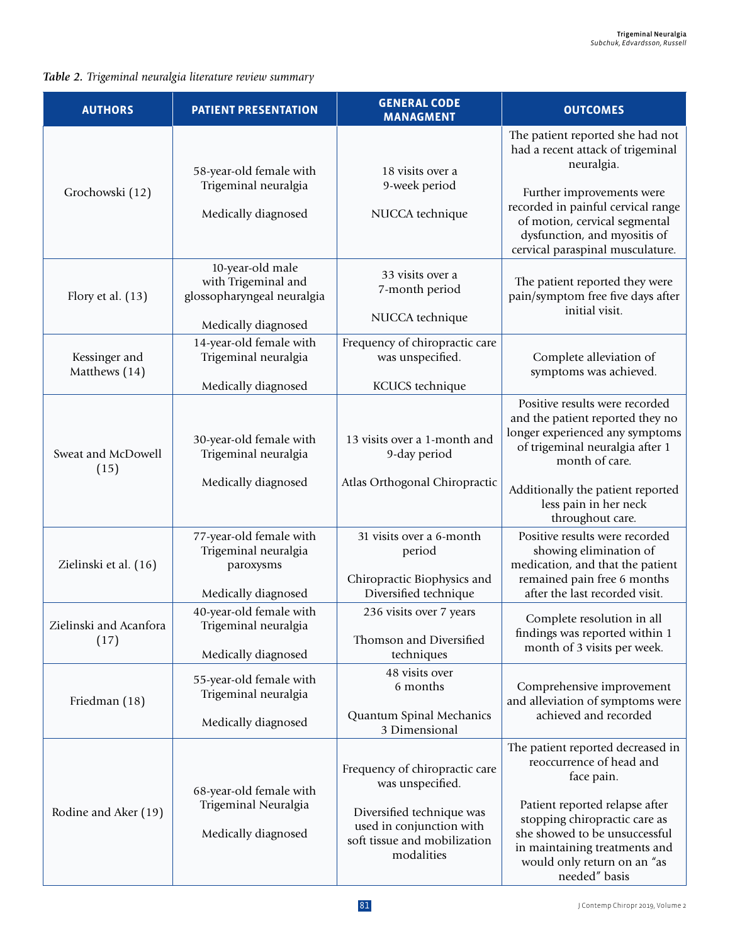## *Table 2. Trigeminal neuralgia literature review summary*

| <b>AUTHORS</b>                 | <b>PATIENT PRESENTATION</b>                                                                  | <b>GENERAL CODE</b><br><b>MANAGMENT</b>                                                                                                                   | <b>OUTCOMES</b>                                                                                                                                                                                                                                                  |
|--------------------------------|----------------------------------------------------------------------------------------------|-----------------------------------------------------------------------------------------------------------------------------------------------------------|------------------------------------------------------------------------------------------------------------------------------------------------------------------------------------------------------------------------------------------------------------------|
| Grochowski (12)                | 58-year-old female with<br>Trigeminal neuralgia<br>Medically diagnosed                       | 18 visits over a<br>9-week period<br>NUCCA technique                                                                                                      | The patient reported she had not<br>had a recent attack of trigeminal<br>neuralgia.<br>Further improvements were<br>recorded in painful cervical range<br>of motion, cervical segmental<br>dysfunction, and myositis of<br>cervical paraspinal musculature.      |
| Flory et al. (13)              | 10-year-old male<br>with Trigeminal and<br>glossopharyngeal neuralgia<br>Medically diagnosed | 33 visits over a<br>7-month period<br>NUCCA technique                                                                                                     | The patient reported they were<br>pain/symptom free five days after<br>initial visit.                                                                                                                                                                            |
| Kessinger and<br>Matthews (14) | 14-year-old female with<br>Trigeminal neuralgia<br>Medically diagnosed                       | Frequency of chiropractic care<br>was unspecified.<br>KCUCS technique                                                                                     | Complete alleviation of<br>symptoms was achieved.                                                                                                                                                                                                                |
| Sweat and McDowell<br>(15)     | 30-year-old female with<br>Trigeminal neuralgia<br>Medically diagnosed                       | 13 visits over a 1-month and<br>9-day period<br>Atlas Orthogonal Chiropractic                                                                             | Positive results were recorded<br>and the patient reported they no<br>longer experienced any symptoms<br>of trigeminal neuralgia after 1<br>month of care.<br>Additionally the patient reported                                                                  |
| Zielinski et al. (16)          | 77-year-old female with<br>Trigeminal neuralgia<br>paroxysms<br>Medically diagnosed          | 31 visits over a 6-month<br>period<br>Chiropractic Biophysics and<br>Diversified technique                                                                | less pain in her neck<br>throughout care.<br>Positive results were recorded<br>showing elimination of<br>medication, and that the patient<br>remained pain free 6 months<br>after the last recorded visit.                                                       |
| Zielinski and Acanfora<br>(17) | 40-year-old female with<br>Trigeminal neuralgia<br>Medically diagnosed                       | 236 visits over 7 years<br>Thomson and Diversified<br>techniques                                                                                          | Complete resolution in all<br>findings was reported within 1<br>month of 3 visits per week.                                                                                                                                                                      |
| Friedman (18)                  | 55-year-old female with<br>Trigeminal neuralgia<br>Medically diagnosed                       | 48 visits over<br>6 months<br>Quantum Spinal Mechanics<br>3 Dimensional                                                                                   | Comprehensive improvement<br>and alleviation of symptoms were<br>achieved and recorded                                                                                                                                                                           |
| Rodine and Aker (19)           | 68-year-old female with<br>Trigeminal Neuralgia<br>Medically diagnosed                       | Frequency of chiropractic care<br>was unspecified.<br>Diversified technique was<br>used in conjunction with<br>soft tissue and mobilization<br>modalities | The patient reported decreased in<br>reoccurrence of head and<br>face pain.<br>Patient reported relapse after<br>stopping chiropractic care as<br>she showed to be unsuccessful<br>in maintaining treatments and<br>would only return on an "as<br>needed" basis |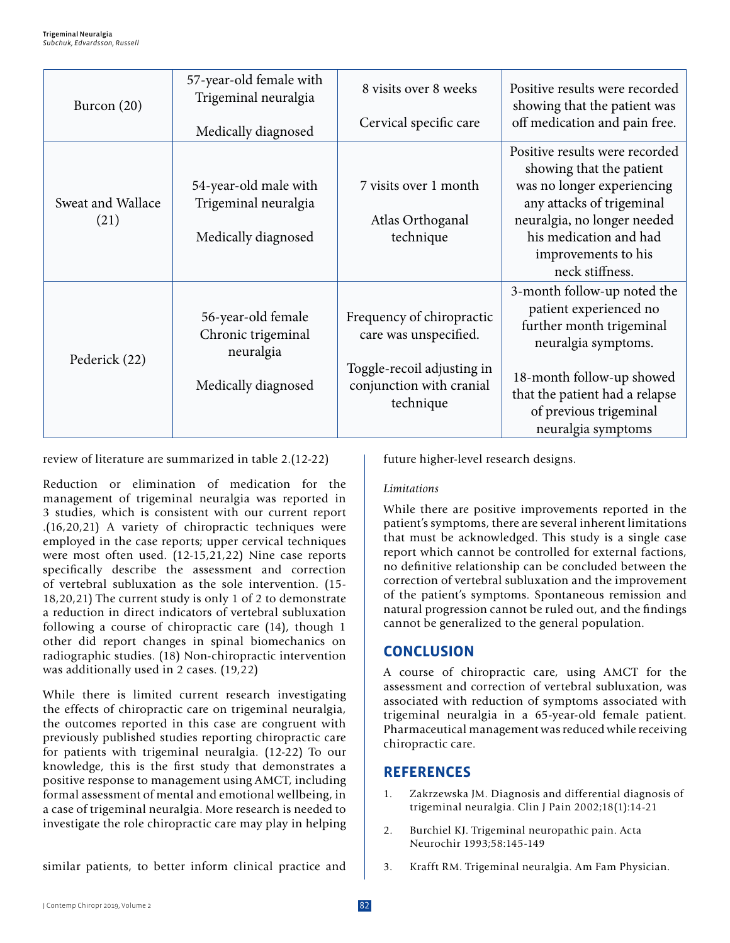| Burcon $(20)$             | 57-year-old female with<br>Trigeminal neuralgia<br>Medically diagnosed       | 8 visits over 8 weeks<br>Cervical specific care                                                                           | Positive results were recorded<br>showing that the patient was<br>off medication and pain free.                                                                                                                          |
|---------------------------|------------------------------------------------------------------------------|---------------------------------------------------------------------------------------------------------------------------|--------------------------------------------------------------------------------------------------------------------------------------------------------------------------------------------------------------------------|
| Sweat and Wallace<br>(21) | 54-year-old male with<br>Trigeminal neuralgia<br>Medically diagnosed         | 7 visits over 1 month<br>Atlas Orthoganal<br>technique                                                                    | Positive results were recorded<br>showing that the patient<br>was no longer experiencing<br>any attacks of trigeminal<br>neuralgia, no longer needed<br>his medication and had<br>improvements to his<br>neck stiffness. |
| Pederick (22)             | 56-year-old female<br>Chronic trigeminal<br>neuralgia<br>Medically diagnosed | Frequency of chiropractic<br>care was unspecified.<br>Toggle-recoil adjusting in<br>conjunction with cranial<br>technique | 3-month follow-up noted the<br>patient experienced no<br>further month trigeminal<br>neuralgia symptoms.<br>18-month follow-up showed<br>that the patient had a relapse<br>of previous trigeminal<br>neuralgia symptoms  |

review of literature are summarized in table 2.(12-22)

Reduction or elimination of medication for the management of trigeminal neuralgia was reported in 3 studies, which is consistent with our current report .(16,20,21) A variety of chiropractic techniques were employed in the case reports; upper cervical techniques were most often used. (12-15,21,22) Nine case reports specifically describe the assessment and correction of vertebral subluxation as the sole intervention. (15- 18,20,21) The current study is only 1 of 2 to demonstrate a reduction in direct indicators of vertebral subluxation following a course of chiropractic care (14), though 1 other did report changes in spinal biomechanics on radiographic studies. (18) Non-chiropractic intervention was additionally used in 2 cases. (19,22)

While there is limited current research investigating the effects of chiropractic care on trigeminal neuralgia, the outcomes reported in this case are congruent with previously published studies reporting chiropractic care for patients with trigeminal neuralgia. (12-22) To our knowledge, this is the first study that demonstrates a positive response to management using AMCT, including formal assessment of mental and emotional wellbeing, in a case of trigeminal neuralgia. More research is needed to investigate the role chiropractic care may play in helping

future higher-level research designs.

### *Limitations*

While there are positive improvements reported in the patient's symptoms, there are several inherent limitations that must be acknowledged. This study is a single case report which cannot be controlled for external factions, no definitive relationship can be concluded between the correction of vertebral subluxation and the improvement of the patient's symptoms. Spontaneous remission and natural progression cannot be ruled out, and the findings cannot be generalized to the general population.

## **CONCLUSION**

A course of chiropractic care, using AMCT for the assessment and correction of vertebral subluxation, was associated with reduction of symptoms associated with trigeminal neuralgia in a 65-year-old female patient. Pharmaceutical management was reduced while receiving chiropractic care.

## **REFERENCES**

- 1. Zakrzewska JM. Diagnosis and differential diagnosis of trigeminal neuralgia. Clin J Pain 2002;18(1):14-21
- 2. Burchiel KJ. Trigeminal neuropathic pain. Acta Neurochir 1993;58:145-149
- similar patients, to better inform clinical practice and
- 3. Krafft RM. Trigeminal neuralgia. Am Fam Physician.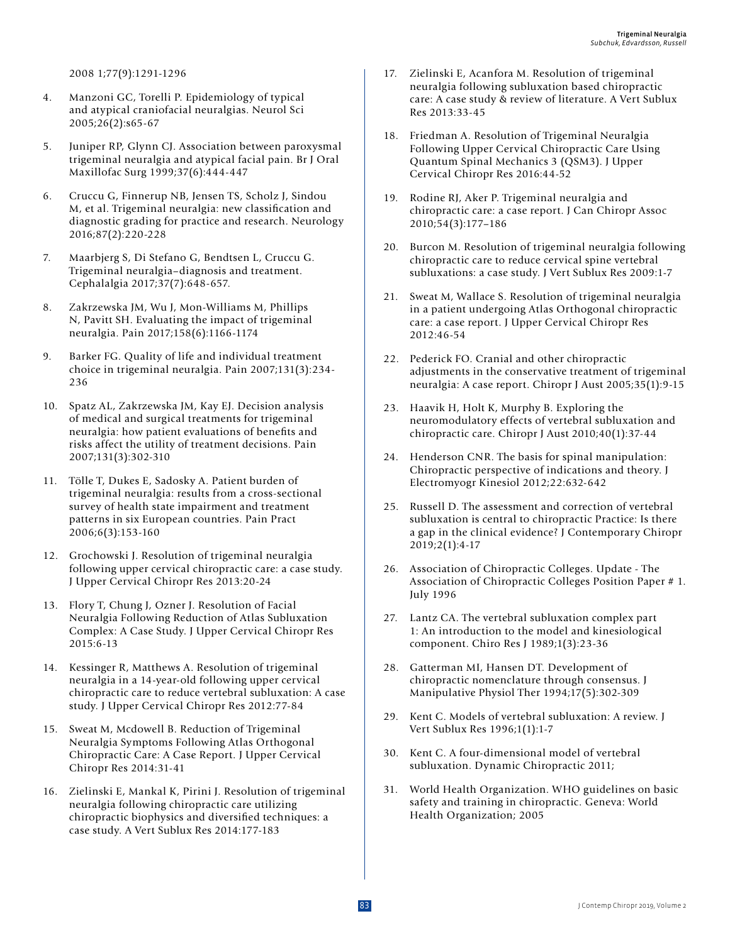2008 1;77(9):1291-1296

- 4. Manzoni GC, Torelli P. Epidemiology of typical and atypical craniofacial neuralgias. Neurol Sci 2005;26(2):s65-67
- 5. Juniper RP, Glynn CJ. Association between paroxysmal trigeminal neuralgia and atypical facial pain. Br J Oral Maxillofac Surg 1999;37(6):444-447
- 6. Cruccu G, Finnerup NB, Jensen TS, Scholz J, Sindou M, et al. Trigeminal neuralgia: new classification and diagnostic grading for practice and research. Neurology 2016;87(2):220-228
- 7. Maarbjerg S, Di Stefano G, Bendtsen L, Cruccu G. Trigeminal neuralgia–diagnosis and treatment. Cephalalgia 2017;37(7):648-657.
- 8. Zakrzewska JM, Wu J, Mon-Williams M, Phillips N, Pavitt SH. Evaluating the impact of trigeminal neuralgia. Pain 2017;158(6):1166-1174
- 9. Barker FG. Quality of life and individual treatment choice in trigeminal neuralgia. Pain 2007;131(3):234- 236
- 10. Spatz AL, Zakrzewska JM, Kay EJ. Decision analysis of medical and surgical treatments for trigeminal neuralgia: how patient evaluations of benefits and risks affect the utility of treatment decisions. Pain 2007;131(3):302-310
- 11. Tölle T, Dukes E, Sadosky A. Patient burden of trigeminal neuralgia: results from a cross‐sectional survey of health state impairment and treatment patterns in six European countries. Pain Pract 2006;6(3):153-160
- 12. Grochowski J. Resolution of trigeminal neuralgia following upper cervical chiropractic care: a case study. J Upper Cervical Chiropr Res 2013:20-24
- 13. Flory T, Chung J, Ozner J. Resolution of Facial Neuralgia Following Reduction of Atlas Subluxation Complex: A Case Study. J Upper Cervical Chiropr Res 2015:6-13
- 14. Kessinger R, Matthews A. Resolution of trigeminal neuralgia in a 14-year-old following upper cervical chiropractic care to reduce vertebral subluxation: A case study. J Upper Cervical Chiropr Res 2012:77-84
- 15. Sweat M, Mcdowell B. Reduction of Trigeminal Neuralgia Symptoms Following Atlas Orthogonal Chiropractic Care: A Case Report. J Upper Cervical Chiropr Res 2014:31-41
- 16. Zielinski E, Mankal K, Pirini J. Resolution of trigeminal neuralgia following chiropractic care utilizing chiropractic biophysics and diversified techniques: a case study. A Vert Sublux Res 2014:177-183
- 17. Zielinski E, Acanfora M. Resolution of trigeminal neuralgia following subluxation based chiropractic care: A case study & review of literature. A Vert Sublux Res 2013:33-45
- 18. Friedman A. Resolution of Trigeminal Neuralgia Following Upper Cervical Chiropractic Care Using Quantum Spinal Mechanics 3 (QSM3). J Upper Cervical Chiropr Res 2016:44-52
- 19. Rodine RJ, Aker P. Trigeminal neuralgia and chiropractic care: a case report. J Can Chiropr Assoc 2010;54(3):177–186
- 20. Burcon M. Resolution of trigeminal neuralgia following chiropractic care to reduce cervical spine vertebral subluxations: a case study. J Vert Sublux Res 2009:1-7
- 21. Sweat M, Wallace S. Resolution of trigeminal neuralgia in a patient undergoing Atlas Orthogonal chiropractic care: a case report. J Upper Cervical Chiropr Res 2012:46-54
- 22. Pederick FO. Cranial and other chiropractic adjustments in the conservative treatment of trigeminal neuralgia: A case report. Chiropr J Aust 2005;35(1):9-15
- 23. Haavik H, Holt K, Murphy B. Exploring the neuromodulatory effects of vertebral subluxation and chiropractic care. Chiropr J Aust 2010;40(1):37-44
- 24. Henderson CNR. The basis for spinal manipulation: Chiropractic perspective of indications and theory. J Electromyogr Kinesiol 2012;22:632-642
- 25. Russell D. The assessment and correction of vertebral subluxation is central to chiropractic Practice: Is there a gap in the clinical evidence? J Contemporary Chiropr 2019;2(1):4-17
- 26. Association of Chiropractic Colleges. Update The Association of Chiropractic Colleges Position Paper # 1. July 1996
- 27. Lantz CA. The vertebral subluxation complex part 1: An introduction to the model and kinesiological component. Chiro Res J 1989;1(3):23-36
- 28. Gatterman MI, Hansen DT. Development of chiropractic nomenclature through consensus. J Manipulative Physiol Ther 1994;17(5):302-309
- 29. Kent C. Models of vertebral subluxation: A review. J Vert Sublux Res 1996;1(1):1-7
- 30. Kent C. A four-dimensional model of vertebral subluxation. Dynamic Chiropractic 2011;
- 31. World Health Organization. WHO guidelines on basic safety and training in chiropractic. Geneva: World Health Organization; 2005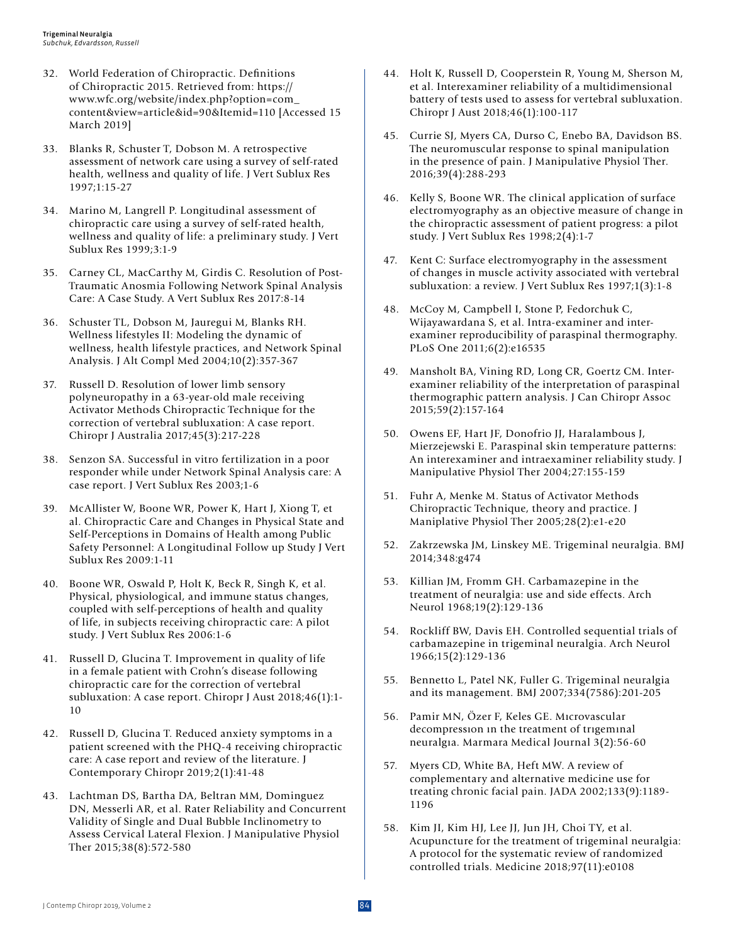- 32. World Federation of Chiropractic. Definitions of Chiropractic 2015. Retrieved from: https:// www.wfc.org/website/index.php?option=com\_ content&view=article&id=90&Itemid=110 [Accessed 15 March 2019]
- 33. Blanks R, Schuster T, Dobson M. A retrospective assessment of network care using a survey of self-rated health, wellness and quality of life. J Vert Sublux Res 1997;1:15-27
- 34. Marino M, Langrell P. Longitudinal assessment of chiropractic care using a survey of self-rated health, wellness and quality of life: a preliminary study. J Vert Sublux Res 1999;3:1-9
- 35. Carney CL, MacCarthy M, Girdis C. Resolution of Post-Traumatic Anosmia Following Network Spinal Analysis Care: A Case Study. A Vert Sublux Res 2017:8-14
- 36. Schuster TL, Dobson M, Jauregui M, Blanks RH. Wellness lifestyles II: Modeling the dynamic of wellness, health lifestyle practices, and Network Spinal Analysis. J Alt Compl Med 2004;10(2):357-367
- 37. Russell D. Resolution of lower limb sensory polyneuropathy in a 63-year-old male receiving Activator Methods Chiropractic Technique for the correction of vertebral subluxation: A case report. Chiropr J Australia 2017;45(3):217-228
- 38. Senzon SA. Successful in vitro fertilization in a poor responder while under Network Spinal Analysis care: A case report. J Vert Sublux Res 2003;1-6
- 39. McAllister W, Boone WR, Power K, Hart J, Xiong T, et al. Chiropractic Care and Changes in Physical State and Self-Perceptions in Domains of Health among Public Safety Personnel: A Longitudinal Follow up Study J Vert Sublux Res 2009:1-11
- 40. Boone WR, Oswald P, Holt K, Beck R, Singh K, et al. Physical, physiological, and immune status changes, coupled with self-perceptions of health and quality of life, in subjects receiving chiropractic care: A pilot study. J Vert Sublux Res 2006:1-6
- 41. Russell D, Glucina T. Improvement in quality of life in a female patient with Crohn's disease following chiropractic care for the correction of vertebral subluxation: A case report. Chiropr J Aust 2018;46(1):1- 10
- 42. Russell D, Glucina T. Reduced anxiety symptoms in a patient screened with the PHQ-4 receiving chiropractic care: A case report and review of the literature. J Contemporary Chiropr 2019;2(1):41-48
- 43. Lachtman DS, Bartha DA, Beltran MM, Dominguez DN, Messerli AR, et al. Rater Reliability and Concurrent Validity of Single and Dual Bubble Inclinometry to Assess Cervical Lateral Flexion. J Manipulative Physiol Ther 2015;38(8):572-580
- 44. Holt K, Russell D, Cooperstein R, Young M, Sherson M, et al. Interexaminer reliability of a multidimensional battery of tests used to assess for vertebral subluxation. Chiropr J Aust 2018;46(1):100-117
- 45. Currie SJ, Myers CA, Durso C, Enebo BA, Davidson BS. The neuromuscular response to spinal manipulation in the presence of pain. J Manipulative Physiol Ther. 2016;39(4):288-293
- 46. Kelly S, Boone WR. The clinical application of surface electromyography as an objective measure of change in the chiropractic assessment of patient progress: a pilot study. J Vert Sublux Res 1998;2(4):1-7
- 47. Kent C: Surface electromyography in the assessment of changes in muscle activity associated with vertebral subluxation: a review. J Vert Sublux Res 1997;1(3):1-8
- 48. McCoy M, Campbell I, Stone P, Fedorchuk C, Wijayawardana S, et al. Intra-examiner and interexaminer reproducibility of paraspinal thermography. PLoS One 2011;6(2):e16535
- 49. Mansholt BA, Vining RD, Long CR, Goertz CM. Interexaminer reliability of the interpretation of paraspinal thermographic pattern analysis. J Can Chiropr Assoc 2015;59(2):157-164
- 50. Owens EF, Hart JF, Donofrio JJ, Haralambous J, Mierzejewski E. Paraspinal skin temperature patterns: An interexaminer and intraexaminer reliability study. J Manipulative Physiol Ther 2004;27:155-159
- 51. Fuhr A, Menke M. Status of Activator Methods Chiropractic Technique, theory and practice. J Maniplative Physiol Ther 2005;28(2):e1-e20
- 52. Zakrzewska JM, Linskey ME. Trigeminal neuralgia. BMJ 2014;348:g474
- 53. Killian JM, Fromm GH. Carbamazepine in the treatment of neuralgia: use and side effects. Arch Neurol 1968;19(2):129-136
- 54. Rockliff BW, Davis EH. Controlled sequential trials of carbamazepine in trigeminal neuralgia. Arch Neurol 1966;15(2):129-136
- 55. Bennetto L, Patel NK, Fuller G. Trigeminal neuralgia and its management. BMJ 2007;334(7586):201-205
- 56. Pamir MN, Özer F, Keles GE. Mıcrovascular decompressıon ın the treatment of trıgemınal neuralgıa. Marmara Medical Journal 3(2):56-60
- 57. Myers CD, White BA, Heft MW. A review of complementary and alternative medicine use for treating chronic facial pain. JADA 2002;133(9):1189- 1196
- 58. Kim JI, Kim HJ, Lee JJ, Jun JH, Choi TY, et al. Acupuncture for the treatment of trigeminal neuralgia: A protocol for the systematic review of randomized controlled trials. Medicine 2018;97(11):e0108